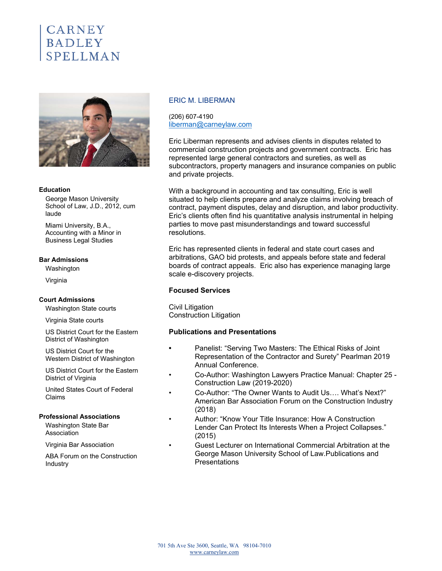# CARNEY **BADLEY SPELLMAN**



#### **Education**

George Mason University School of Law, J.D., 2012, cum laude

Miami University, B.A., Accounting with a Minor in Business Legal Studies

#### **Bar Admissions**

Washington

Virginia

#### **Court Admissions**

Washington State courts

Virginia State courts

US District Court for the Eastern District of Washington

US District Court for the Western District of Washington

US District Court for the Eastern District of Virginia

United States Court of Federal Claims

#### **Professional Associations**

Washington State Bar Association

Virginia Bar Association

ABA Forum on the Construction **Industry** 

# ERIC M. LIBERMAN

(206) 607-4190 liberman@carneylaw.com

Eric Liberman represents and advises clients in disputes related to commercial construction projects and government contracts. Eric has represented large general contractors and sureties, as well as subcontractors, property managers and insurance companies on public and private projects.

With a background in accounting and tax consulting, Eric is well situated to help clients prepare and analyze claims involving breach of contract, payment disputes, delay and disruption, and labor productivity. Eric's clients often find his quantitative analysis instrumental in helping parties to move past misunderstandings and toward successful resolutions.

Eric has represented clients in federal and state court cases and arbitrations, GAO bid protests, and appeals before state and federal boards of contract appeals. Eric also has experience managing large scale e-discovery projects.

### **Focused Services**

Civil Litigation Construction Litigation

## **Publications and Presentations**

- **•** Panelist: "Serving Two Masters: The Ethical Risks of Joint Representation of the Contractor and Surety" Pearlman 2019 Annual Conference.
- Co-Author: Washington Lawyers Practice Manual: Chapter 25 Construction Law (2019-2020)
- Co-Author: "The Owner Wants to Audit Us…. What's Next?" American Bar Association Forum on the Construction Industry (2018)
- Author: "Know Your Title Insurance: How A Construction Lender Can Protect Its Interests When a Project Collapses." (2015)
- Guest Lecturer on International Commercial Arbitration at the George Mason University School of Law.Publications and **Presentations**